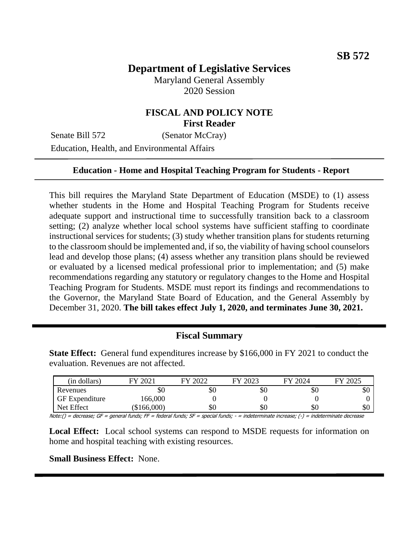# **Department of Legislative Services**

Maryland General Assembly 2020 Session

## **FISCAL AND POLICY NOTE First Reader**

Senate Bill 572 (Senator McCray) Education, Health, and Environmental Affairs

#### **Education - Home and Hospital Teaching Program for Students - Report**

This bill requires the Maryland State Department of Education (MSDE) to (1) assess whether students in the Home and Hospital Teaching Program for Students receive adequate support and instructional time to successfully transition back to a classroom setting; (2) analyze whether local school systems have sufficient staffing to coordinate instructional services for students; (3) study whether transition plans for students returning to the classroom should be implemented and, if so, the viability of having school counselors lead and develop those plans; (4) assess whether any transition plans should be reviewed or evaluated by a licensed medical professional prior to implementation; and (5) make recommendations regarding any statutory or regulatory changes to the Home and Hospital Teaching Program for Students. MSDE must report its findings and recommendations to the Governor, the Maryland State Board of Education, and the General Assembly by December 31, 2020. **The bill takes effect July 1, 2020, and terminates June 30, 2021.**

#### **Fiscal Summary**

**State Effect:** General fund expenditures increase by \$166,000 in FY 2021 to conduct the evaluation. Revenues are not affected.

| (in dollars)          | 2021        | 2022<br>ГV | 2023 | FY 2024 | FY 2025 |
|-----------------------|-------------|------------|------|---------|---------|
| Revenues              | ъU          | \$0        | \$0  | \$0     | υU      |
| <b>GF</b> Expenditure | 166,000     |            |      |         |         |
| Net Effect            | (\$166,000) | \$0        | \$0  | \$0     | υU      |

Note:() = decrease; GF = general funds; FF = federal funds; SF = special funds; - = indeterminate increase; (-) = indeterminate decrease

**Local Effect:** Local school systems can respond to MSDE requests for information on home and hospital teaching with existing resources.

**Small Business Effect:** None.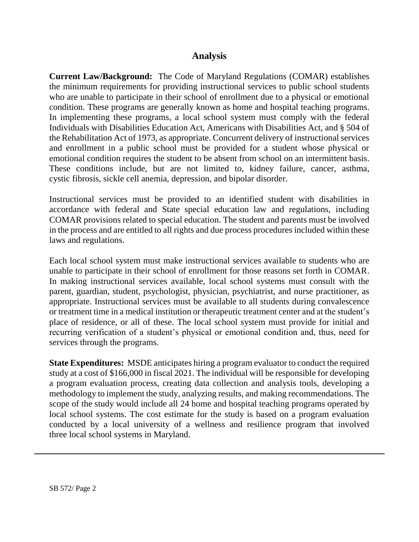## **Analysis**

**Current Law/Background:** The Code of Maryland Regulations (COMAR) establishes the minimum requirements for providing instructional services to public school students who are unable to participate in their school of enrollment due to a physical or emotional condition. These programs are generally known as home and hospital teaching programs. In implementing these programs, a local school system must comply with the federal Individuals with Disabilities Education Act, Americans with Disabilities Act, and § 504 of the Rehabilitation Act of 1973, as appropriate. Concurrent delivery of instructional services and enrollment in a public school must be provided for a student whose physical or emotional condition requires the student to be absent from school on an intermittent basis. These conditions include, but are not limited to, kidney failure, cancer, asthma, cystic fibrosis, sickle cell anemia, depression, and bipolar disorder.

Instructional services must be provided to an identified student with disabilities in accordance with federal and State special education law and regulations, including COMAR provisions related to special education. The student and parents must be involved in the process and are entitled to all rights and due process procedures included within these laws and regulations.

Each local school system must make instructional services available to students who are unable to participate in their school of enrollment for those reasons set forth in COMAR. In making instructional services available, local school systems must consult with the parent, guardian, student, psychologist, physician, psychiatrist, and nurse practitioner, as appropriate. Instructional services must be available to all students during convalescence or treatment time in a medical institution or therapeutic treatment center and at the student's place of residence, or all of these. The local school system must provide for initial and recurring verification of a student's physical or emotional condition and, thus, need for services through the programs.

**State Expenditures:** MSDE anticipates hiring a program evaluator to conduct the required study at a cost of \$166,000 in fiscal 2021. The individual will be responsible for developing a program evaluation process, creating data collection and analysis tools, developing a methodology to implement the study, analyzing results, and making recommendations. The scope of the study would include all 24 home and hospital teaching programs operated by local school systems. The cost estimate for the study is based on a program evaluation conducted by a local university of a wellness and resilience program that involved three local school systems in Maryland.